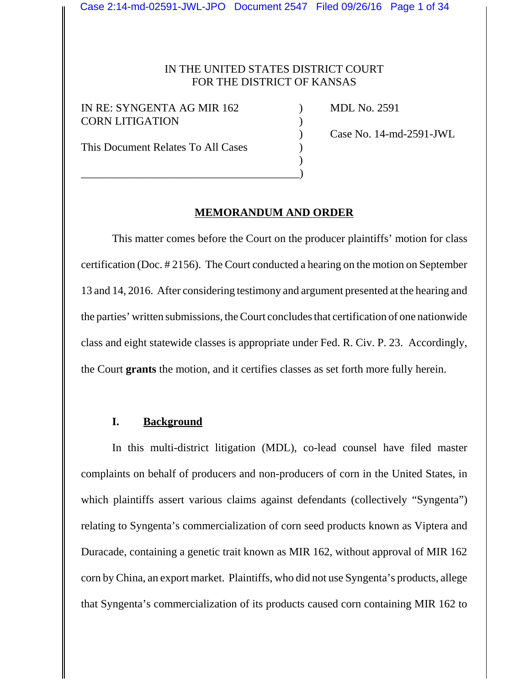#### IN THE UNITED STATES DISTRICT COURT FOR THE DISTRICT OF KANSAS

IN RE: SYNGENTA AG MIR 162 (a) MDL No. 2591 CORN LITIGATION (2008)

This Document Relates To All Cases  $\qquad \qquad$  )

\_\_\_\_\_\_\_\_\_\_\_\_\_\_\_\_\_\_\_\_\_\_\_\_\_\_\_\_\_\_\_\_\_\_\_\_\_\_\_)

) Case No. 14-md-2591-JWL

#### **MEMORANDUM AND ORDER**

)

This matter comes before the Court on the producer plaintiffs' motion for class certification (Doc. # 2156). The Court conducted a hearing on the motion on September 13 and 14, 2016. After considering testimony and argument presented at the hearing and the parties' written submissions, the Court concludes that certification of one nationwide class and eight statewide classes is appropriate under Fed. R. Civ. P. 23. Accordingly, the Court **grants** the motion, and it certifies classes as set forth more fully herein.

#### **I. Background**

In this multi-district litigation (MDL), co-lead counsel have filed master complaints on behalf of producers and non-producers of corn in the United States, in which plaintiffs assert various claims against defendants (collectively "Syngenta") relating to Syngenta's commercialization of corn seed products known as Viptera and Duracade, containing a genetic trait known as MIR 162, without approval of MIR 162 corn by China, an export market. Plaintiffs, who did not use Syngenta's products, allege that Syngenta's commercialization of its products caused corn containing MIR 162 to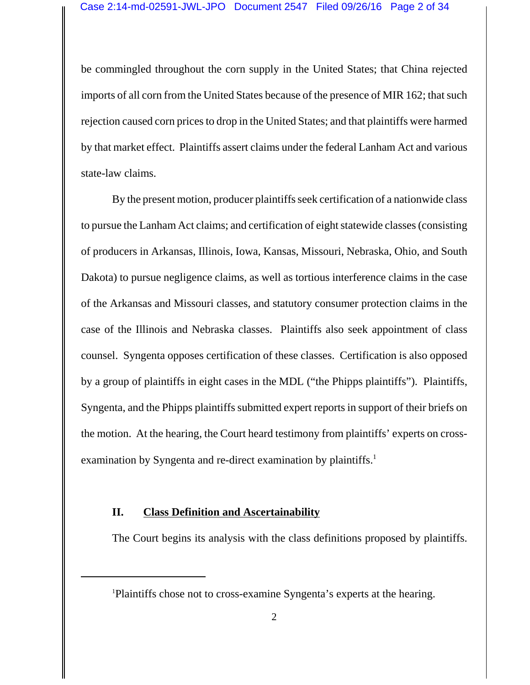be commingled throughout the corn supply in the United States; that China rejected imports of all corn from the United States because of the presence of MIR 162; that such rejection caused corn prices to drop in the United States; and that plaintiffs were harmed by that market effect. Plaintiffs assert claims under the federal Lanham Act and various state-law claims.

By the present motion, producer plaintiffs seek certification of a nationwide class to pursue the Lanham Act claims; and certification of eight statewide classes (consisting of producers in Arkansas, Illinois, Iowa, Kansas, Missouri, Nebraska, Ohio, and South Dakota) to pursue negligence claims, as well as tortious interference claims in the case of the Arkansas and Missouri classes, and statutory consumer protection claims in the case of the Illinois and Nebraska classes. Plaintiffs also seek appointment of class counsel. Syngenta opposes certification of these classes. Certification is also opposed by a group of plaintiffs in eight cases in the MDL ("the Phipps plaintiffs"). Plaintiffs, Syngenta, and the Phipps plaintiffs submitted expert reports in support of their briefs on the motion. At the hearing, the Court heard testimony from plaintiffs' experts on crossexamination by Syngenta and re-direct examination by plaintiffs.<sup>1</sup>

### **II. Class Definition and Ascertainability**

The Court begins its analysis with the class definitions proposed by plaintiffs.

<sup>1</sup> Plaintiffs chose not to cross-examine Syngenta's experts at the hearing.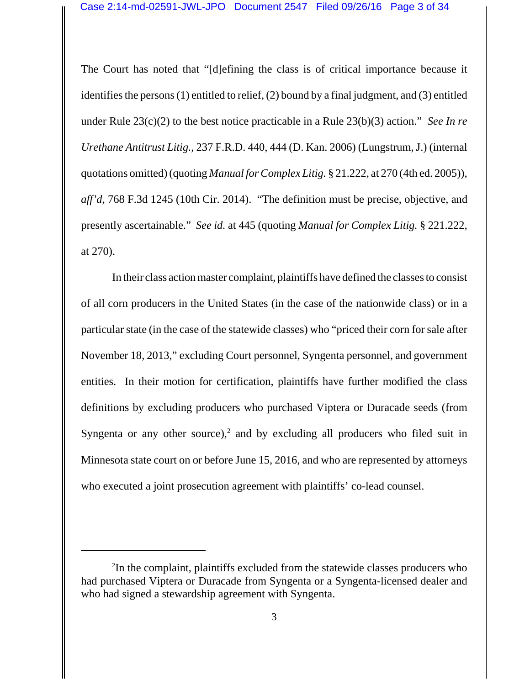The Court has noted that "[d]efining the class is of critical importance because it identifies the persons (1) entitled to relief, (2) bound by a final judgment, and (3) entitled under Rule 23(c)(2) to the best notice practicable in a Rule 23(b)(3) action." *See In re Urethane Antitrust Litig.*, 237 F.R.D. 440, 444 (D. Kan. 2006) (Lungstrum, J.) (internal quotations omitted) (quoting *Manual for Complex Litig.* § 21.222, at 270 (4th ed. 2005)), *aff'd*, 768 F.3d 1245 (10th Cir. 2014). "The definition must be precise, objective, and presently ascertainable." *See id.* at 445 (quoting *Manual for Complex Litig.* § 221.222, at 270).

In their class action master complaint, plaintiffs have defined the classes to consist of all corn producers in the United States (in the case of the nationwide class) or in a particular state (in the case of the statewide classes) who "priced their corn for sale after November 18, 2013," excluding Court personnel, Syngenta personnel, and government entities. In their motion for certification, plaintiffs have further modified the class definitions by excluding producers who purchased Viptera or Duracade seeds (from Syngenta or any other source),<sup>2</sup> and by excluding all producers who filed suit in Minnesota state court on or before June 15, 2016, and who are represented by attorneys who executed a joint prosecution agreement with plaintiffs' co-lead counsel.

<sup>2</sup> In the complaint, plaintiffs excluded from the statewide classes producers who had purchased Viptera or Duracade from Syngenta or a Syngenta-licensed dealer and who had signed a stewardship agreement with Syngenta.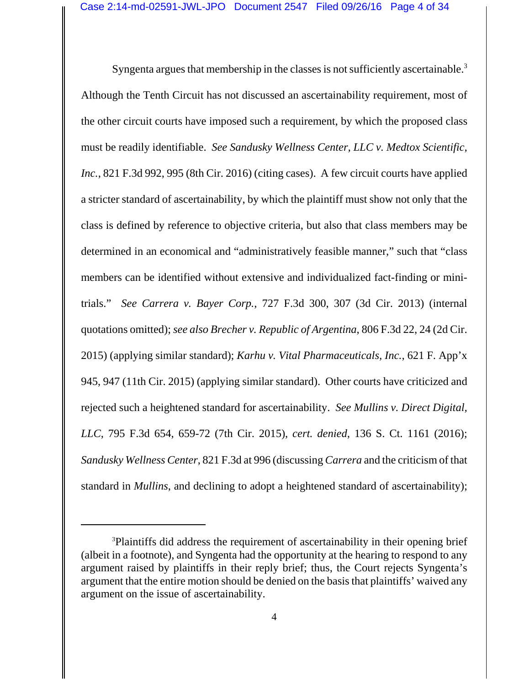Syngenta argues that membership in the classes is not sufficiently ascertainable.<sup>3</sup> Although the Tenth Circuit has not discussed an ascertainability requirement, most of the other circuit courts have imposed such a requirement, by which the proposed class must be readily identifiable. *See Sandusky Wellness Center, LLC v. Medtox Scientific, Inc.*, 821 F.3d 992, 995 (8th Cir. 2016) (citing cases). A few circuit courts have applied a stricter standard of ascertainability, by which the plaintiff must show not only that the class is defined by reference to objective criteria, but also that class members may be determined in an economical and "administratively feasible manner," such that "class members can be identified without extensive and individualized fact-finding or minitrials." *See Carrera v. Bayer Corp.*, 727 F.3d 300, 307 (3d Cir. 2013) (internal quotations omitted); *see also Brecher v. Republic of Argentina*, 806 F.3d 22, 24 (2d Cir. 2015) (applying similar standard); *Karhu v. Vital Pharmaceuticals, Inc.*, 621 F. App'x 945, 947 (11th Cir. 2015) (applying similar standard). Other courts have criticized and rejected such a heightened standard for ascertainability. *See Mullins v. Direct Digital, LLC*, 795 F.3d 654, 659-72 (7th Cir. 2015), *cert. denied*, 136 S. Ct. 1161 (2016); *Sandusky Wellness Center*, 821 F.3d at 996 (discussing *Carrera* and the criticism of that standard in *Mullins*, and declining to adopt a heightened standard of ascertainability);

<sup>&</sup>lt;sup>3</sup>Plaintiffs did address the requirement of ascertainability in their opening brief (albeit in a footnote), and Syngenta had the opportunity at the hearing to respond to any argument raised by plaintiffs in their reply brief; thus, the Court rejects Syngenta's argument that the entire motion should be denied on the basis that plaintiffs' waived any argument on the issue of ascertainability.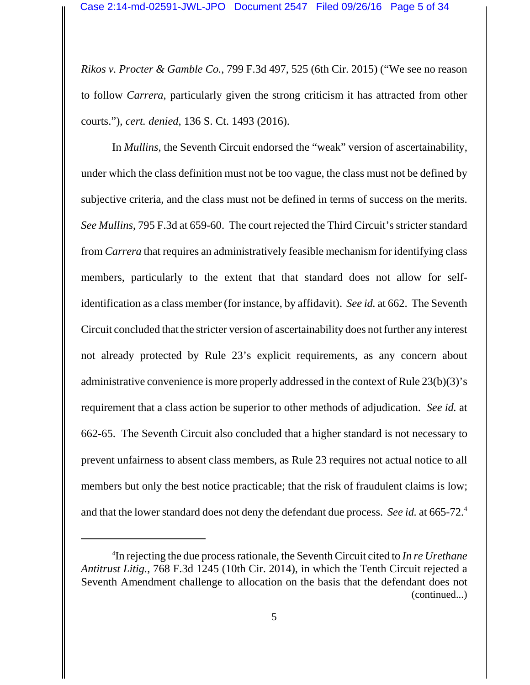*Rikos v. Procter & Gamble Co.*, 799 F.3d 497, 525 (6th Cir. 2015) ("We see no reason to follow *Carrera*, particularly given the strong criticism it has attracted from other courts."), *cert. denied*, 136 S. Ct. 1493 (2016).

In *Mullins*, the Seventh Circuit endorsed the "weak" version of ascertainability, under which the class definition must not be too vague, the class must not be defined by subjective criteria, and the class must not be defined in terms of success on the merits. *See Mullins*, 795 F.3d at 659-60. The court rejected the Third Circuit's stricter standard from *Carrera* that requires an administratively feasible mechanism for identifying class members, particularly to the extent that that standard does not allow for selfidentification as a class member (for instance, by affidavit). *See id.* at 662. The Seventh Circuit concluded that the stricter version of ascertainability does not further any interest not already protected by Rule 23's explicit requirements, as any concern about administrative convenience is more properly addressed in the context of Rule 23(b)(3)'s requirement that a class action be superior to other methods of adjudication. *See id.* at 662-65. The Seventh Circuit also concluded that a higher standard is not necessary to prevent unfairness to absent class members, as Rule 23 requires not actual notice to all members but only the best notice practicable; that the risk of fraudulent claims is low; and that the lower standard does not deny the defendant due process. *See id.* at 665-72.4

<sup>4</sup> In rejecting the due process rationale, the Seventh Circuit cited to *In re Urethane Antitrust Litig.*, 768 F.3d 1245 (10th Cir. 2014), in which the Tenth Circuit rejected a Seventh Amendment challenge to allocation on the basis that the defendant does not (continued...)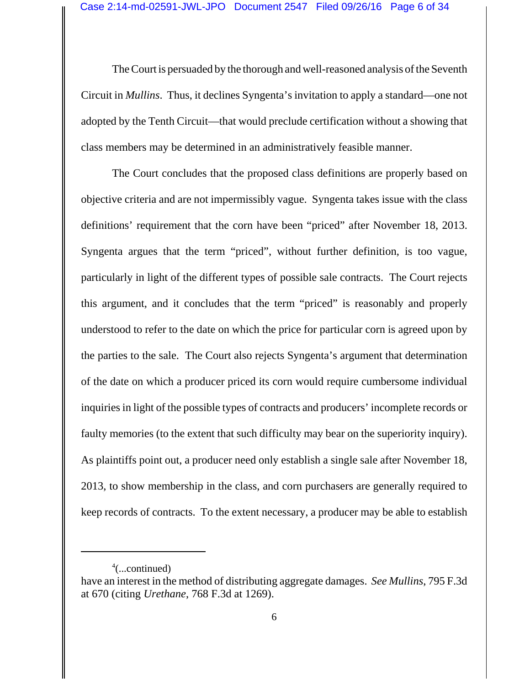The Court is persuaded by the thorough and well-reasoned analysis of the Seventh Circuit in *Mullins*. Thus, it declines Syngenta's invitation to apply a standard—one not adopted by the Tenth Circuit—that would preclude certification without a showing that class members may be determined in an administratively feasible manner.

The Court concludes that the proposed class definitions are properly based on objective criteria and are not impermissibly vague. Syngenta takes issue with the class definitions' requirement that the corn have been "priced" after November 18, 2013. Syngenta argues that the term "priced", without further definition, is too vague, particularly in light of the different types of possible sale contracts. The Court rejects this argument, and it concludes that the term "priced" is reasonably and properly understood to refer to the date on which the price for particular corn is agreed upon by the parties to the sale. The Court also rejects Syngenta's argument that determination of the date on which a producer priced its corn would require cumbersome individual inquiries in light of the possible types of contracts and producers' incomplete records or faulty memories (to the extent that such difficulty may bear on the superiority inquiry). As plaintiffs point out, a producer need only establish a single sale after November 18, 2013, to show membership in the class, and corn purchasers are generally required to keep records of contracts. To the extent necessary, a producer may be able to establish

<sup>4</sup> (...continued)

have an interest in the method of distributing aggregate damages. *See Mullins*, 795 F.3d at 670 (citing *Urethane*, 768 F.3d at 1269).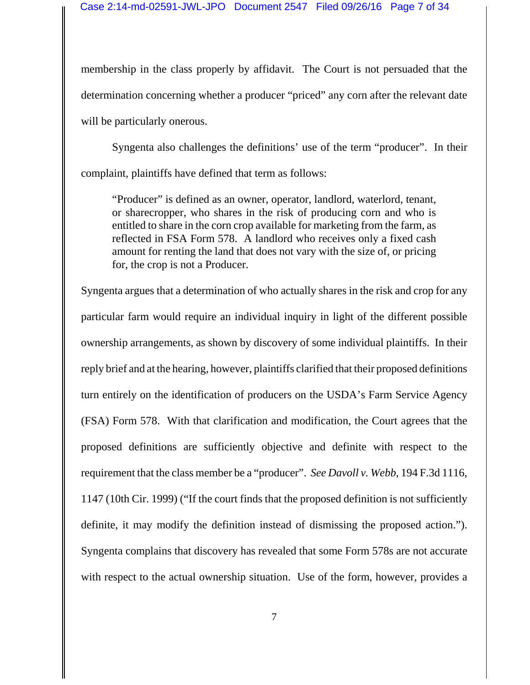membership in the class properly by affidavit. The Court is not persuaded that the determination concerning whether a producer "priced" any corn after the relevant date will be particularly onerous.

Syngenta also challenges the definitions' use of the term "producer". In their complaint, plaintiffs have defined that term as follows:

"Producer" is defined as an owner, operator, landlord, waterlord, tenant, or sharecropper, who shares in the risk of producing corn and who is entitled to share in the corn crop available for marketing from the farm, as reflected in FSA Form 578. A landlord who receives only a fixed cash amount for renting the land that does not vary with the size of, or pricing for, the crop is not a Producer.

Syngenta argues that a determination of who actually shares in the risk and crop for any particular farm would require an individual inquiry in light of the different possible ownership arrangements, as shown by discovery of some individual plaintiffs. In their reply brief and at the hearing, however, plaintiffs clarified that their proposed definitions turn entirely on the identification of producers on the USDA's Farm Service Agency (FSA) Form 578. With that clarification and modification, the Court agrees that the proposed definitions are sufficiently objective and definite with respect to the requirement that the class member be a "producer". *See Davoll v. Webb*, 194 F.3d 1116, 1147 (10th Cir. 1999) ("If the court finds that the proposed definition is not sufficiently definite, it may modify the definition instead of dismissing the proposed action."). Syngenta complains that discovery has revealed that some Form 578s are not accurate with respect to the actual ownership situation. Use of the form, however, provides a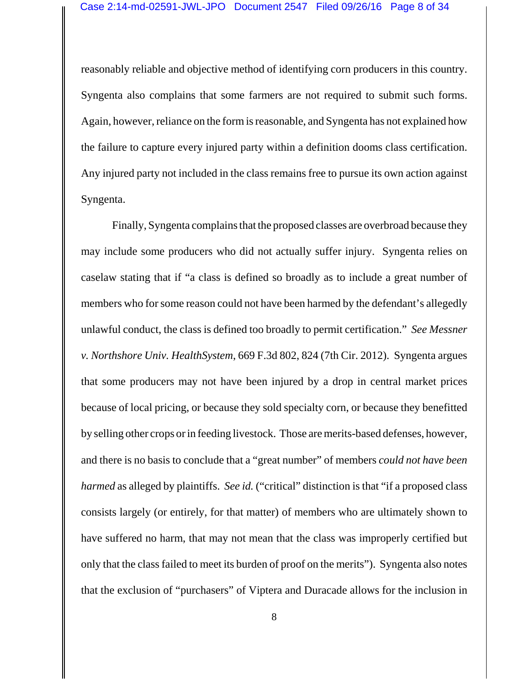reasonably reliable and objective method of identifying corn producers in this country. Syngenta also complains that some farmers are not required to submit such forms. Again, however, reliance on the form is reasonable, and Syngenta has not explained how the failure to capture every injured party within a definition dooms class certification. Any injured party not included in the class remains free to pursue its own action against Syngenta.

Finally, Syngenta complains that the proposed classes are overbroad because they may include some producers who did not actually suffer injury. Syngenta relies on caselaw stating that if "a class is defined so broadly as to include a great number of members who for some reason could not have been harmed by the defendant's allegedly unlawful conduct, the class is defined too broadly to permit certification." *See Messner v. Northshore Univ. HealthSystem*, 669 F.3d 802, 824 (7th Cir. 2012). Syngenta argues that some producers may not have been injured by a drop in central market prices because of local pricing, or because they sold specialty corn, or because they benefitted by selling other crops or in feeding livestock. Those are merits-based defenses, however, and there is no basis to conclude that a "great number" of members *could not have been harmed* as alleged by plaintiffs. *See id.* ("critical" distinction is that "if a proposed class consists largely (or entirely, for that matter) of members who are ultimately shown to have suffered no harm, that may not mean that the class was improperly certified but only that the class failed to meet its burden of proof on the merits"). Syngenta also notes that the exclusion of "purchasers" of Viptera and Duracade allows for the inclusion in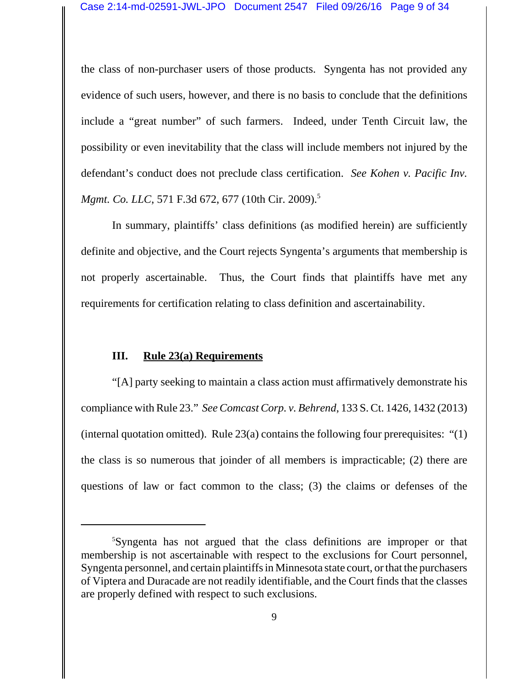the class of non-purchaser users of those products. Syngenta has not provided any evidence of such users, however, and there is no basis to conclude that the definitions include a "great number" of such farmers. Indeed, under Tenth Circuit law, the possibility or even inevitability that the class will include members not injured by the defendant's conduct does not preclude class certification. *See Kohen v. Pacific Inv. Mgmt. Co. LLC*, 571 F.3d 672, 677 (10th Cir. 2009).<sup>5</sup>

In summary, plaintiffs' class definitions (as modified herein) are sufficiently definite and objective, and the Court rejects Syngenta's arguments that membership is not properly ascertainable. Thus, the Court finds that plaintiffs have met any requirements for certification relating to class definition and ascertainability.

### **III. Rule 23(a) Requirements**

"[A] party seeking to maintain a class action must affirmatively demonstrate his compliance with Rule 23." *See Comcast Corp. v. Behrend*, 133 S. Ct. 1426, 1432 (2013) (internal quotation omitted). Rule  $23(a)$  contains the following four prerequisites: "(1) the class is so numerous that joinder of all members is impracticable; (2) there are questions of law or fact common to the class; (3) the claims or defenses of the

<sup>5</sup> Syngenta has not argued that the class definitions are improper or that membership is not ascertainable with respect to the exclusions for Court personnel, Syngenta personnel, and certain plaintiffs in Minnesota state court, or that the purchasers of Viptera and Duracade are not readily identifiable, and the Court finds that the classes are properly defined with respect to such exclusions.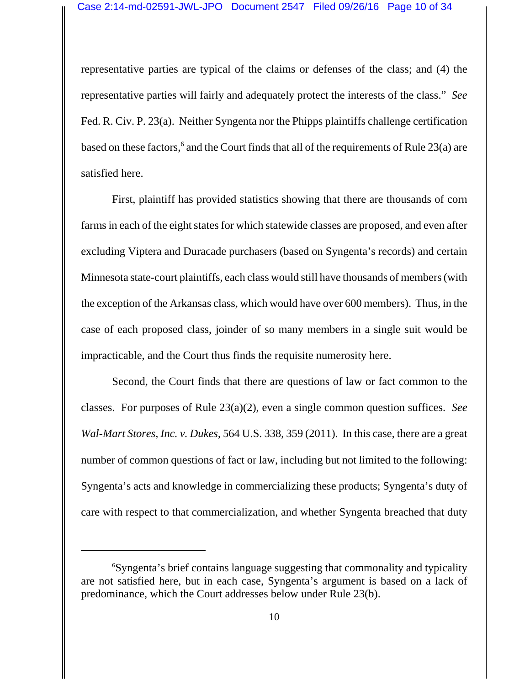representative parties are typical of the claims or defenses of the class; and (4) the representative parties will fairly and adequately protect the interests of the class." *See* Fed. R. Civ. P. 23(a). Neither Syngenta nor the Phipps plaintiffs challenge certification based on these factors,<sup>6</sup> and the Court finds that all of the requirements of Rule 23(a) are satisfied here.

First, plaintiff has provided statistics showing that there are thousands of corn farms in each of the eight states for which statewide classes are proposed, and even after excluding Viptera and Duracade purchasers (based on Syngenta's records) and certain Minnesota state-court plaintiffs, each class would still have thousands of members (with the exception of the Arkansas class, which would have over 600 members). Thus, in the case of each proposed class, joinder of so many members in a single suit would be impracticable, and the Court thus finds the requisite numerosity here.

Second, the Court finds that there are questions of law or fact common to the classes. For purposes of Rule 23(a)(2), even a single common question suffices. *See Wal-Mart Stores, Inc. v. Dukes*, 564 U.S. 338, 359 (2011). In this case, there are a great number of common questions of fact or law, including but not limited to the following: Syngenta's acts and knowledge in commercializing these products; Syngenta's duty of care with respect to that commercialization, and whether Syngenta breached that duty

<sup>6</sup> Syngenta's brief contains language suggesting that commonality and typicality are not satisfied here, but in each case, Syngenta's argument is based on a lack of predominance, which the Court addresses below under Rule 23(b).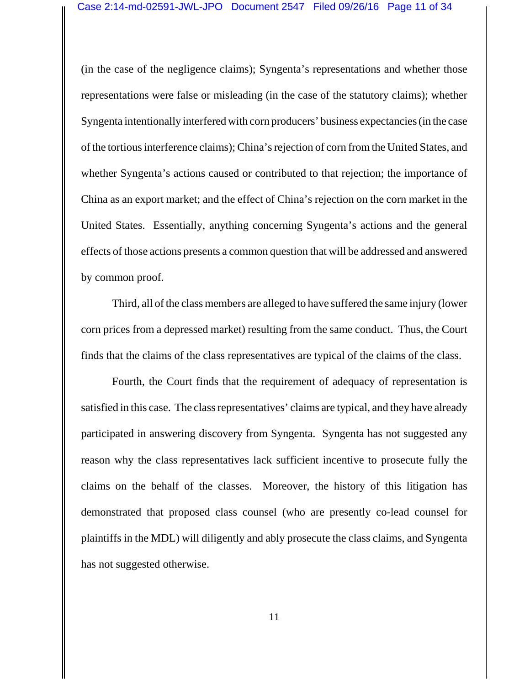(in the case of the negligence claims); Syngenta's representations and whether those representations were false or misleading (in the case of the statutory claims); whether Syngenta intentionally interfered with corn producers' business expectancies (in the case of the tortious interference claims); China's rejection of corn from the United States, and whether Syngenta's actions caused or contributed to that rejection; the importance of China as an export market; and the effect of China's rejection on the corn market in the United States. Essentially, anything concerning Syngenta's actions and the general effects of those actions presents a common question that will be addressed and answered by common proof.

Third, all of the class members are alleged to have suffered the same injury (lower corn prices from a depressed market) resulting from the same conduct. Thus, the Court finds that the claims of the class representatives are typical of the claims of the class.

Fourth, the Court finds that the requirement of adequacy of representation is satisfied in this case. The class representatives' claims are typical, and they have already participated in answering discovery from Syngenta. Syngenta has not suggested any reason why the class representatives lack sufficient incentive to prosecute fully the claims on the behalf of the classes. Moreover, the history of this litigation has demonstrated that proposed class counsel (who are presently co-lead counsel for plaintiffs in the MDL) will diligently and ably prosecute the class claims, and Syngenta has not suggested otherwise.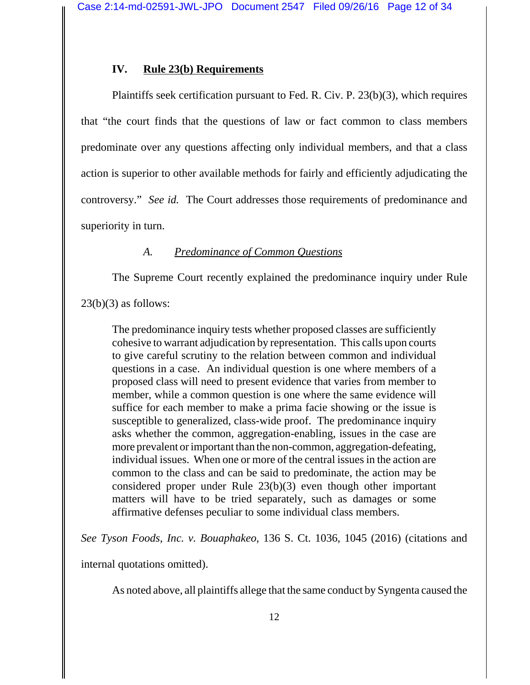# **IV. Rule 23(b) Requirements**

Plaintiffs seek certification pursuant to Fed. R. Civ. P. 23(b)(3), which requires that "the court finds that the questions of law or fact common to class members predominate over any questions affecting only individual members, and that a class action is superior to other available methods for fairly and efficiently adjudicating the controversy." *See id.* The Court addresses those requirements of predominance and superiority in turn.

## *A. Predominance of Common Questions*

The Supreme Court recently explained the predominance inquiry under Rule

 $23(b)(3)$  as follows:

The predominance inquiry tests whether proposed classes are sufficiently cohesive to warrant adjudication by representation. This calls upon courts to give careful scrutiny to the relation between common and individual questions in a case. An individual question is one where members of a proposed class will need to present evidence that varies from member to member, while a common question is one where the same evidence will suffice for each member to make a prima facie showing or the issue is susceptible to generalized, class-wide proof. The predominance inquiry asks whether the common, aggregation-enabling, issues in the case are more prevalent or important than the non-common, aggregation-defeating, individual issues. When one or more of the central issues in the action are common to the class and can be said to predominate, the action may be considered proper under Rule 23(b)(3) even though other important matters will have to be tried separately, such as damages or some affirmative defenses peculiar to some individual class members.

*See Tyson Foods, Inc. v. Bouaphakeo*, 136 S. Ct. 1036, 1045 (2016) (citations and

internal quotations omitted).

As noted above, all plaintiffs allege that the same conduct by Syngenta caused the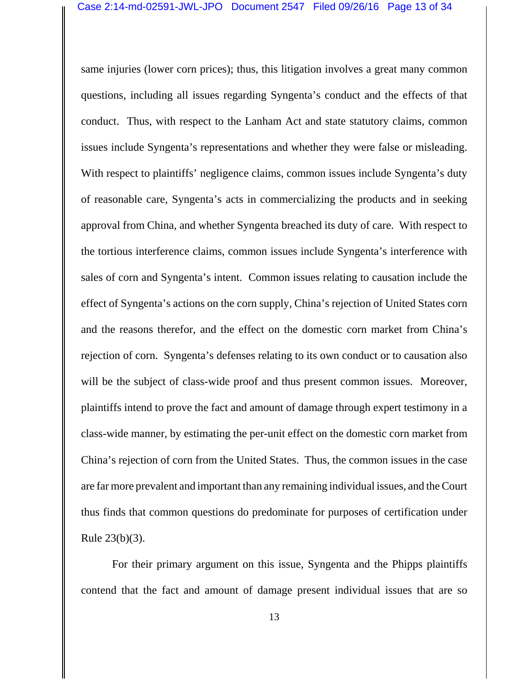same injuries (lower corn prices); thus, this litigation involves a great many common questions, including all issues regarding Syngenta's conduct and the effects of that conduct. Thus, with respect to the Lanham Act and state statutory claims, common issues include Syngenta's representations and whether they were false or misleading. With respect to plaintiffs' negligence claims, common issues include Syngenta's duty of reasonable care, Syngenta's acts in commercializing the products and in seeking approval from China, and whether Syngenta breached its duty of care. With respect to the tortious interference claims, common issues include Syngenta's interference with sales of corn and Syngenta's intent. Common issues relating to causation include the effect of Syngenta's actions on the corn supply, China's rejection of United States corn and the reasons therefor, and the effect on the domestic corn market from China's rejection of corn. Syngenta's defenses relating to its own conduct or to causation also will be the subject of class-wide proof and thus present common issues. Moreover, plaintiffs intend to prove the fact and amount of damage through expert testimony in a class-wide manner, by estimating the per-unit effect on the domestic corn market from China's rejection of corn from the United States. Thus, the common issues in the case are far more prevalent and important than any remaining individual issues, and the Court thus finds that common questions do predominate for purposes of certification under Rule 23(b)(3).

For their primary argument on this issue, Syngenta and the Phipps plaintiffs contend that the fact and amount of damage present individual issues that are so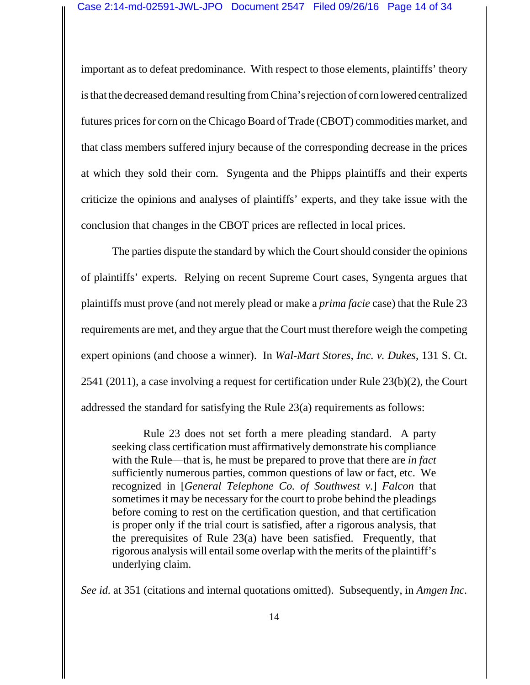important as to defeat predominance. With respect to those elements, plaintiffs' theory is that the decreased demand resulting from China's rejection of corn lowered centralized futures prices for corn on the Chicago Board of Trade (CBOT) commodities market, and that class members suffered injury because of the corresponding decrease in the prices at which they sold their corn. Syngenta and the Phipps plaintiffs and their experts criticize the opinions and analyses of plaintiffs' experts, and they take issue with the conclusion that changes in the CBOT prices are reflected in local prices.

The parties dispute the standard by which the Court should consider the opinions of plaintiffs' experts. Relying on recent Supreme Court cases, Syngenta argues that plaintiffs must prove (and not merely plead or make a *prima facie* case) that the Rule 23 requirements are met, and they argue that the Court must therefore weigh the competing expert opinions (and choose a winner). In *Wal-Mart Stores, Inc. v. Dukes*, 131 S. Ct. 2541 (2011), a case involving a request for certification under Rule 23(b)(2), the Court addressed the standard for satisfying the Rule 23(a) requirements as follows:

Rule 23 does not set forth a mere pleading standard. A party seeking class certification must affirmatively demonstrate his compliance with the Rule—that is, he must be prepared to prove that there are *in fact* sufficiently numerous parties, common questions of law or fact, etc. We recognized in [*General Telephone Co. of Southwest v.*] *Falcon* that sometimes it may be necessary for the court to probe behind the pleadings before coming to rest on the certification question, and that certification is proper only if the trial court is satisfied, after a rigorous analysis, that the prerequisites of Rule 23(a) have been satisfied. Frequently, that rigorous analysis will entail some overlap with the merits of the plaintiff's underlying claim.

*See id.* at 351 (citations and internal quotations omitted). Subsequently, in *Amgen Inc.*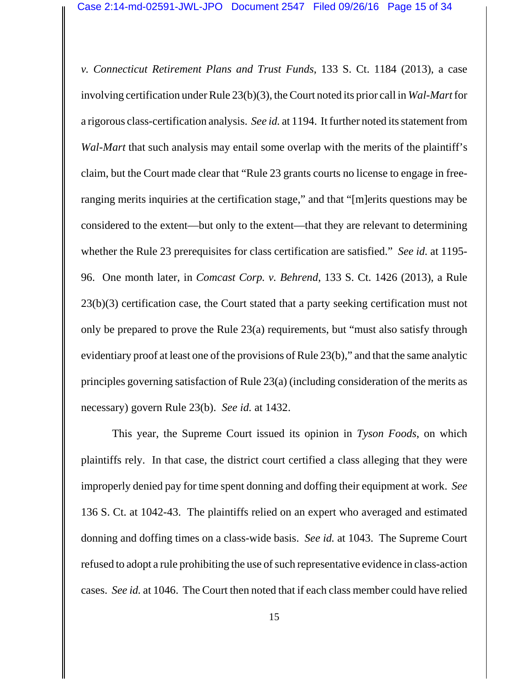*v. Connecticut Retirement Plans and Trust Funds*, 133 S. Ct. 1184 (2013), a case involving certification under Rule 23(b)(3), the Court noted its prior call in *Wal-Mart* for a rigorous class-certification analysis. *See id.* at 1194. It further noted its statement from *Wal-Mart* that such analysis may entail some overlap with the merits of the plaintiff's claim, but the Court made clear that "Rule 23 grants courts no license to engage in freeranging merits inquiries at the certification stage," and that "[m]erits questions may be considered to the extent—but only to the extent—that they are relevant to determining whether the Rule 23 prerequisites for class certification are satisfied." *See id.* at 1195- 96. One month later, in *Comcast Corp. v. Behrend*, 133 S. Ct. 1426 (2013), a Rule 23(b)(3) certification case, the Court stated that a party seeking certification must not only be prepared to prove the Rule 23(a) requirements, but "must also satisfy through evidentiary proof at least one of the provisions of Rule 23(b)," and that the same analytic principles governing satisfaction of Rule 23(a) (including consideration of the merits as necessary) govern Rule 23(b). *See id.* at 1432.

This year, the Supreme Court issued its opinion in *Tyson Foods*, on which plaintiffs rely. In that case, the district court certified a class alleging that they were improperly denied pay for time spent donning and doffing their equipment at work. *See* 136 S. Ct. at 1042-43. The plaintiffs relied on an expert who averaged and estimated donning and doffing times on a class-wide basis. *See id.* at 1043. The Supreme Court refused to adopt a rule prohibiting the use of such representative evidence in class-action cases. *See id.* at 1046. The Court then noted that if each class member could have relied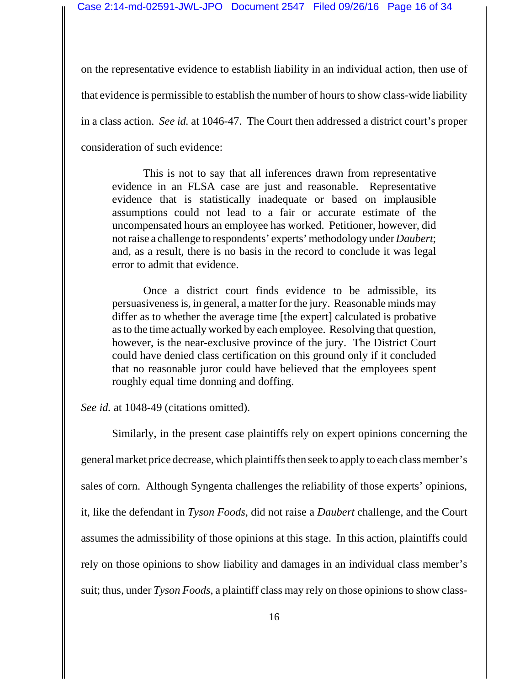on the representative evidence to establish liability in an individual action, then use of that evidence is permissible to establish the number of hours to show class-wide liability in a class action. *See id.* at 1046-47. The Court then addressed a district court's proper consideration of such evidence:

This is not to say that all inferences drawn from representative evidence in an FLSA case are just and reasonable. Representative evidence that is statistically inadequate or based on implausible assumptions could not lead to a fair or accurate estimate of the uncompensated hours an employee has worked. Petitioner, however, did not raise a challenge to respondents' experts' methodology under *Daubert*; and, as a result, there is no basis in the record to conclude it was legal error to admit that evidence.

Once a district court finds evidence to be admissible, its persuasiveness is, in general, a matter for the jury. Reasonable minds may differ as to whether the average time [the expert] calculated is probative as to the time actually worked by each employee. Resolving that question, however, is the near-exclusive province of the jury. The District Court could have denied class certification on this ground only if it concluded that no reasonable juror could have believed that the employees spent roughly equal time donning and doffing.

See id. at 1048-49 (citations omitted).

Similarly, in the present case plaintiffs rely on expert opinions concerning the general market price decrease, which plaintiffs then seek to apply to each class member's sales of corn. Although Syngenta challenges the reliability of those experts' opinions, it, like the defendant in *Tyson Foods*, did not raise a *Daubert* challenge, and the Court assumes the admissibility of those opinions at this stage. In this action, plaintiffs could rely on those opinions to show liability and damages in an individual class member's suit; thus, under *Tyson Foods*, a plaintiff class may rely on those opinions to show class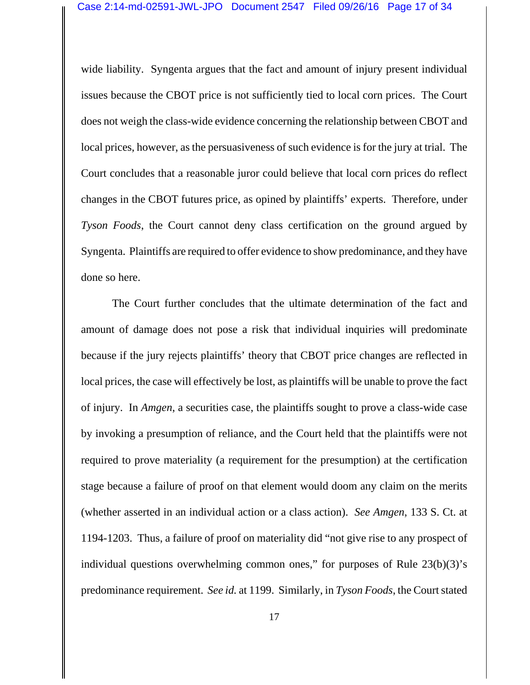wide liability. Syngenta argues that the fact and amount of injury present individual issues because the CBOT price is not sufficiently tied to local corn prices. The Court does not weigh the class-wide evidence concerning the relationship between CBOT and local prices, however, as the persuasiveness of such evidence is for the jury at trial. The Court concludes that a reasonable juror could believe that local corn prices do reflect changes in the CBOT futures price, as opined by plaintiffs' experts. Therefore, under *Tyson Foods*, the Court cannot deny class certification on the ground argued by Syngenta. Plaintiffs are required to offer evidence to show predominance, and they have done so here.

The Court further concludes that the ultimate determination of the fact and amount of damage does not pose a risk that individual inquiries will predominate because if the jury rejects plaintiffs' theory that CBOT price changes are reflected in local prices, the case will effectively be lost, as plaintiffs will be unable to prove the fact of injury. In *Amgen*, a securities case, the plaintiffs sought to prove a class-wide case by invoking a presumption of reliance, and the Court held that the plaintiffs were not required to prove materiality (a requirement for the presumption) at the certification stage because a failure of proof on that element would doom any claim on the merits (whether asserted in an individual action or a class action). *See Amgen*, 133 S. Ct. at 1194-1203. Thus, a failure of proof on materiality did "not give rise to any prospect of individual questions overwhelming common ones," for purposes of Rule 23(b)(3)'s predominance requirement. *See id.* at 1199. Similarly, in *Tyson Foods*, the Court stated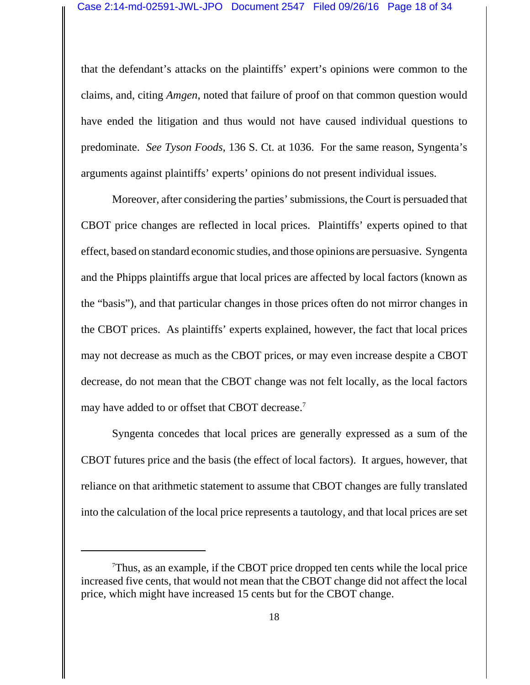that the defendant's attacks on the plaintiffs' expert's opinions were common to the claims, and, citing *Amgen*, noted that failure of proof on that common question would have ended the litigation and thus would not have caused individual questions to predominate. *See Tyson Foods*, 136 S. Ct. at 1036. For the same reason, Syngenta's arguments against plaintiffs' experts' opinions do not present individual issues.

Moreover, after considering the parties' submissions, the Court is persuaded that CBOT price changes are reflected in local prices. Plaintiffs' experts opined to that effect, based on standard economic studies, and those opinions are persuasive. Syngenta and the Phipps plaintiffs argue that local prices are affected by local factors (known as the "basis"), and that particular changes in those prices often do not mirror changes in the CBOT prices. As plaintiffs' experts explained, however, the fact that local prices may not decrease as much as the CBOT prices, or may even increase despite a CBOT decrease, do not mean that the CBOT change was not felt locally, as the local factors may have added to or offset that CBOT decrease.<sup>7</sup>

Syngenta concedes that local prices are generally expressed as a sum of the CBOT futures price and the basis (the effect of local factors). It argues, however, that reliance on that arithmetic statement to assume that CBOT changes are fully translated into the calculation of the local price represents a tautology, and that local prices are set

<sup>7</sup> Thus, as an example, if the CBOT price dropped ten cents while the local price increased five cents, that would not mean that the CBOT change did not affect the local price, which might have increased 15 cents but for the CBOT change.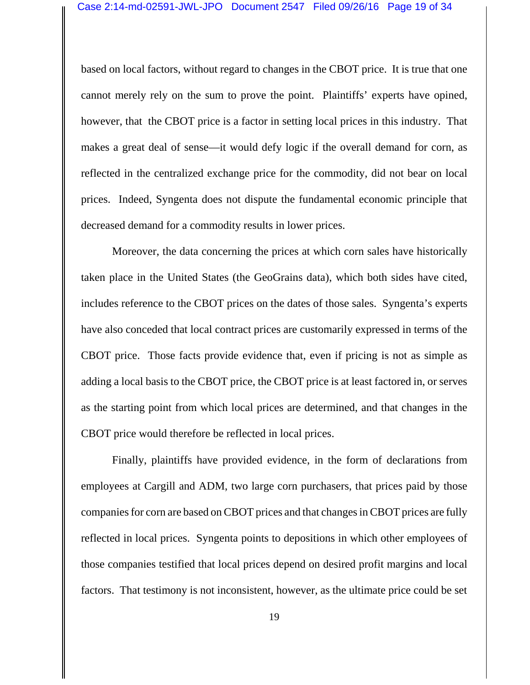based on local factors, without regard to changes in the CBOT price. It is true that one cannot merely rely on the sum to prove the point. Plaintiffs' experts have opined, however, that the CBOT price is a factor in setting local prices in this industry. That makes a great deal of sense—it would defy logic if the overall demand for corn, as reflected in the centralized exchange price for the commodity, did not bear on local prices. Indeed, Syngenta does not dispute the fundamental economic principle that decreased demand for a commodity results in lower prices.

Moreover, the data concerning the prices at which corn sales have historically taken place in the United States (the GeoGrains data), which both sides have cited, includes reference to the CBOT prices on the dates of those sales. Syngenta's experts have also conceded that local contract prices are customarily expressed in terms of the CBOT price. Those facts provide evidence that, even if pricing is not as simple as adding a local basis to the CBOT price, the CBOT price is at least factored in, or serves as the starting point from which local prices are determined, and that changes in the CBOT price would therefore be reflected in local prices.

Finally, plaintiffs have provided evidence, in the form of declarations from employees at Cargill and ADM, two large corn purchasers, that prices paid by those companies for corn are based on CBOT prices and that changes in CBOT prices are fully reflected in local prices. Syngenta points to depositions in which other employees of those companies testified that local prices depend on desired profit margins and local factors. That testimony is not inconsistent, however, as the ultimate price could be set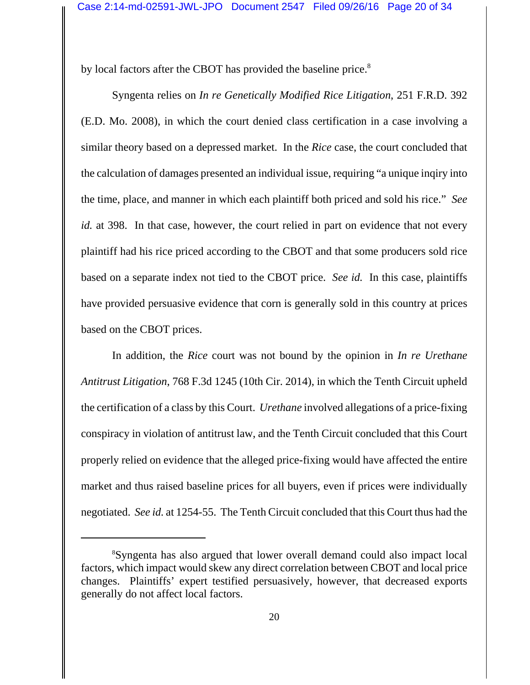by local factors after the CBOT has provided the baseline price.<sup>8</sup>

Syngenta relies on *In re Genetically Modified Rice Litigation*, 251 F.R.D. 392 (E.D. Mo. 2008), in which the court denied class certification in a case involving a similar theory based on a depressed market. In the *Rice* case, the court concluded that the calculation of damages presented an individual issue, requiring "a unique inqiry into the time, place, and manner in which each plaintiff both priced and sold his rice." *See id.* at 398. In that case, however, the court relied in part on evidence that not every plaintiff had his rice priced according to the CBOT and that some producers sold rice based on a separate index not tied to the CBOT price. *See id.* In this case, plaintiffs have provided persuasive evidence that corn is generally sold in this country at prices based on the CBOT prices.

In addition, the *Rice* court was not bound by the opinion in *In re Urethane Antitrust Litigation*, 768 F.3d 1245 (10th Cir. 2014), in which the Tenth Circuit upheld the certification of a class by this Court. *Urethane* involved allegations of a price-fixing conspiracy in violation of antitrust law, and the Tenth Circuit concluded that this Court properly relied on evidence that the alleged price-fixing would have affected the entire market and thus raised baseline prices for all buyers, even if prices were individually negotiated. *See id.* at 1254-55. The Tenth Circuit concluded that this Court thus had the

<sup>8</sup> Syngenta has also argued that lower overall demand could also impact local factors, which impact would skew any direct correlation between CBOT and local price changes. Plaintiffs' expert testified persuasively, however, that decreased exports generally do not affect local factors.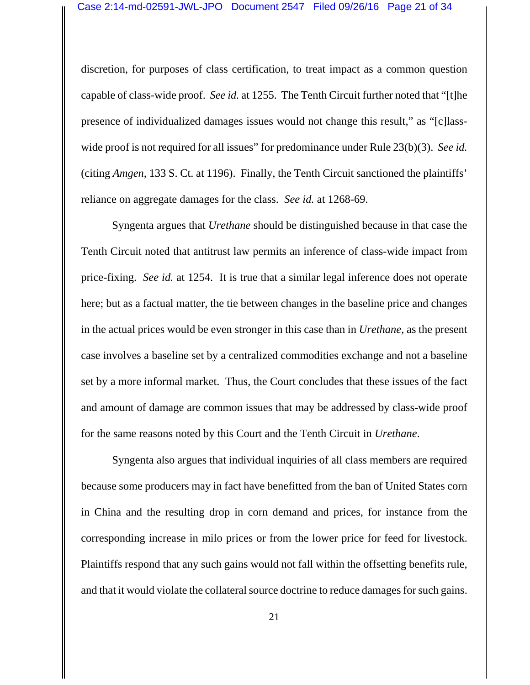discretion, for purposes of class certification, to treat impact as a common question capable of class-wide proof. *See id.* at 1255. The Tenth Circuit further noted that "[t]he presence of individualized damages issues would not change this result," as "[c]lasswide proof is not required for all issues" for predominance under Rule 23(b)(3). *See id.* (citing *Amgen*, 133 S. Ct. at 1196). Finally, the Tenth Circuit sanctioned the plaintiffs' reliance on aggregate damages for the class. *See id.* at 1268-69.

Syngenta argues that *Urethane* should be distinguished because in that case the Tenth Circuit noted that antitrust law permits an inference of class-wide impact from price-fixing. *See id.* at 1254. It is true that a similar legal inference does not operate here; but as a factual matter, the tie between changes in the baseline price and changes in the actual prices would be even stronger in this case than in *Urethane*, as the present case involves a baseline set by a centralized commodities exchange and not a baseline set by a more informal market. Thus, the Court concludes that these issues of the fact and amount of damage are common issues that may be addressed by class-wide proof for the same reasons noted by this Court and the Tenth Circuit in *Urethane*.

Syngenta also argues that individual inquiries of all class members are required because some producers may in fact have benefitted from the ban of United States corn in China and the resulting drop in corn demand and prices, for instance from the corresponding increase in milo prices or from the lower price for feed for livestock. Plaintiffs respond that any such gains would not fall within the offsetting benefits rule, and that it would violate the collateral source doctrine to reduce damages for such gains.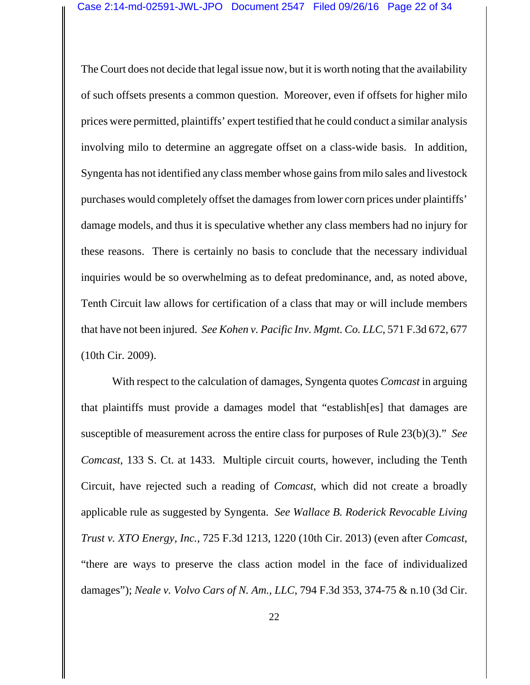The Court does not decide that legal issue now, but it is worth noting that the availability of such offsets presents a common question. Moreover, even if offsets for higher milo prices were permitted, plaintiffs' expert testified that he could conduct a similar analysis involving milo to determine an aggregate offset on a class-wide basis. In addition, Syngenta has not identified any class member whose gains from milo sales and livestock purchases would completely offset the damages from lower corn prices under plaintiffs' damage models, and thus it is speculative whether any class members had no injury for these reasons. There is certainly no basis to conclude that the necessary individual inquiries would be so overwhelming as to defeat predominance, and, as noted above, Tenth Circuit law allows for certification of a class that may or will include members that have not been injured. *See Kohen v. Pacific Inv. Mgmt. Co. LLC*, 571 F.3d 672, 677 (10th Cir. 2009).

With respect to the calculation of damages, Syngenta quotes *Comcast* in arguing that plaintiffs must provide a damages model that "establish[es] that damages are susceptible of measurement across the entire class for purposes of Rule 23(b)(3)." *See Comcast*, 133 S. Ct. at 1433. Multiple circuit courts, however, including the Tenth Circuit, have rejected such a reading of *Comcast*, which did not create a broadly applicable rule as suggested by Syngenta. *See Wallace B. Roderick Revocable Living Trust v. XTO Energy, Inc.*, 725 F.3d 1213, 1220 (10th Cir. 2013) (even after *Comcast*, "there are ways to preserve the class action model in the face of individualized damages"); *Neale v. Volvo Cars of N. Am., LLC*, 794 F.3d 353, 374-75 & n.10 (3d Cir.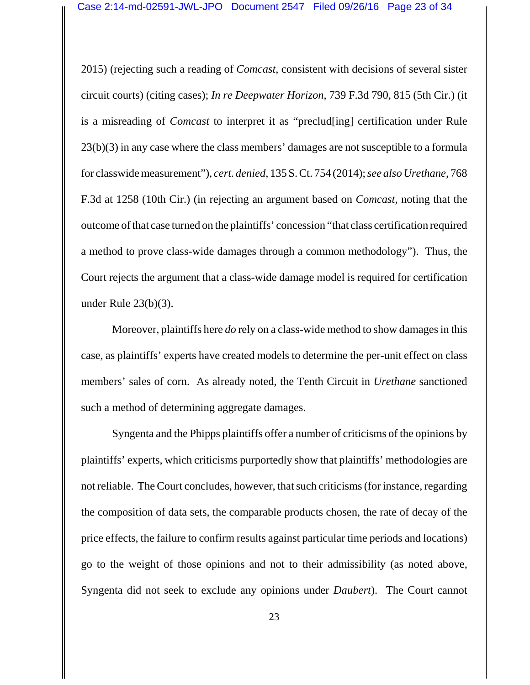2015) (rejecting such a reading of *Comcast*, consistent with decisions of several sister circuit courts) (citing cases); *In re Deepwater Horizon*, 739 F.3d 790, 815 (5th Cir.) (it is a misreading of *Comcast* to interpret it as "preclud[ing] certification under Rule 23(b)(3) in any case where the class members' damages are not susceptible to a formula for classwide measurement"), *cert. denied*, 135 S. Ct. 754 (2014); *see also Urethane*, 768 F.3d at 1258 (10th Cir.) (in rejecting an argument based on *Comcast*, noting that the outcome of that case turned on the plaintiffs' concession "that class certification required a method to prove class-wide damages through a common methodology"). Thus, the Court rejects the argument that a class-wide damage model is required for certification under Rule 23(b)(3).

Moreover, plaintiffs here *do* rely on a class-wide method to show damages in this case, as plaintiffs' experts have created models to determine the per-unit effect on class members' sales of corn. As already noted, the Tenth Circuit in *Urethane* sanctioned such a method of determining aggregate damages.

Syngenta and the Phipps plaintiffs offer a number of criticisms of the opinions by plaintiffs' experts, which criticisms purportedly show that plaintiffs' methodologies are not reliable. The Court concludes, however, that such criticisms (for instance, regarding the composition of data sets, the comparable products chosen, the rate of decay of the price effects, the failure to confirm results against particular time periods and locations) go to the weight of those opinions and not to their admissibility (as noted above, Syngenta did not seek to exclude any opinions under *Daubert*). The Court cannot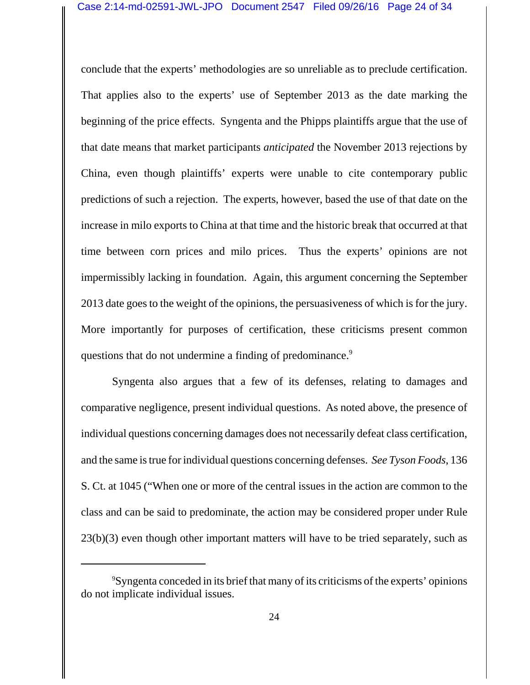conclude that the experts' methodologies are so unreliable as to preclude certification. That applies also to the experts' use of September 2013 as the date marking the beginning of the price effects. Syngenta and the Phipps plaintiffs argue that the use of that date means that market participants *anticipated* the November 2013 rejections by China, even though plaintiffs' experts were unable to cite contemporary public predictions of such a rejection. The experts, however, based the use of that date on the increase in milo exports to China at that time and the historic break that occurred at that time between corn prices and milo prices. Thus the experts' opinions are not impermissibly lacking in foundation. Again, this argument concerning the September 2013 date goes to the weight of the opinions, the persuasiveness of which is for the jury. More importantly for purposes of certification, these criticisms present common questions that do not undermine a finding of predominance.<sup>9</sup>

Syngenta also argues that a few of its defenses, relating to damages and comparative negligence, present individual questions. As noted above, the presence of individual questions concerning damages does not necessarily defeat class certification, and the same is true for individual questions concerning defenses. *See Tyson Foods*, 136 S. Ct. at 1045 ("When one or more of the central issues in the action are common to the class and can be said to predominate, the action may be considered proper under Rule  $23(b)(3)$  even though other important matters will have to be tried separately, such as

<sup>9</sup> Syngenta conceded in its brief that many of its criticisms of the experts' opinions do not implicate individual issues.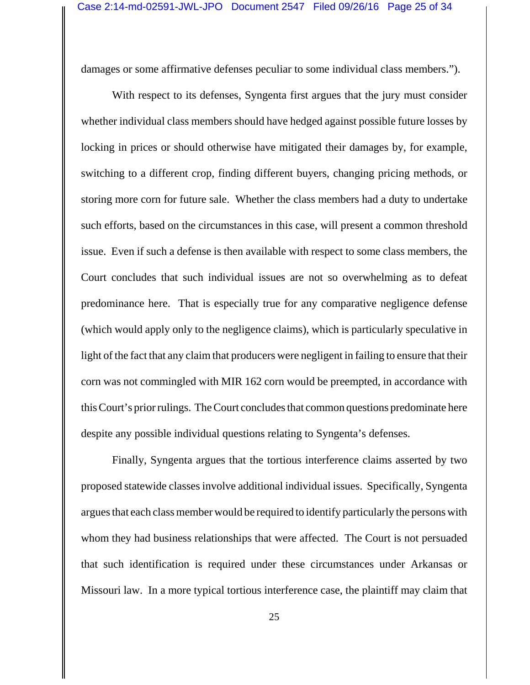damages or some affirmative defenses peculiar to some individual class members.").

With respect to its defenses, Syngenta first argues that the jury must consider whether individual class members should have hedged against possible future losses by locking in prices or should otherwise have mitigated their damages by, for example, switching to a different crop, finding different buyers, changing pricing methods, or storing more corn for future sale. Whether the class members had a duty to undertake such efforts, based on the circumstances in this case, will present a common threshold issue. Even if such a defense is then available with respect to some class members, the Court concludes that such individual issues are not so overwhelming as to defeat predominance here. That is especially true for any comparative negligence defense (which would apply only to the negligence claims), which is particularly speculative in light of the fact that any claim that producers were negligent in failing to ensure that their corn was not commingled with MIR 162 corn would be preempted, in accordance with this Court's prior rulings. The Court concludes that common questions predominate here despite any possible individual questions relating to Syngenta's defenses.

Finally, Syngenta argues that the tortious interference claims asserted by two proposed statewide classes involve additional individual issues. Specifically, Syngenta argues that each class member would be required to identify particularly the persons with whom they had business relationships that were affected. The Court is not persuaded that such identification is required under these circumstances under Arkansas or Missouri law. In a more typical tortious interference case, the plaintiff may claim that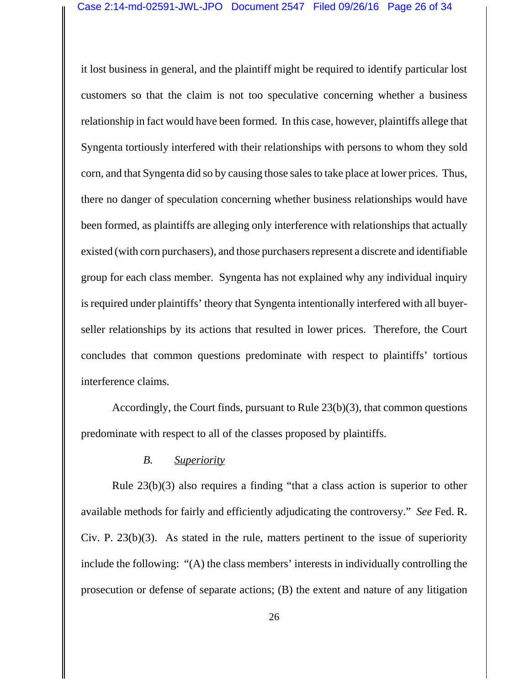it lost business in general, and the plaintiff might be required to identify particular lost customers so that the claim is not too speculative concerning whether a business relationship in fact would have been formed. In this case, however, plaintiffs allege that Syngenta tortiously interfered with their relationships with persons to whom they sold corn, and that Syngenta did so by causing those sales to take place at lower prices. Thus, there no danger of speculation concerning whether business relationships would have been formed, as plaintiffs are alleging only interference with relationships that actually existed (with corn purchasers), and those purchasers represent a discrete and identifiable group for each class member. Syngenta has not explained why any individual inquiry is required under plaintiffs' theory that Syngenta intentionally interfered with all buyerseller relationships by its actions that resulted in lower prices. Therefore, the Court concludes that common questions predominate with respect to plaintiffs' tortious interference claims.

Accordingly, the Court finds, pursuant to Rule 23(b)(3), that common questions predominate with respect to all of the classes proposed by plaintiffs.

### *B. Superiority*

Rule 23(b)(3) also requires a finding "that a class action is superior to other available methods for fairly and efficiently adjudicating the controversy." *See* Fed. R. Civ. P. 23(b)(3). As stated in the rule, matters pertinent to the issue of superiority include the following: "(A) the class members' interests in individually controlling the prosecution or defense of separate actions; (B) the extent and nature of any litigation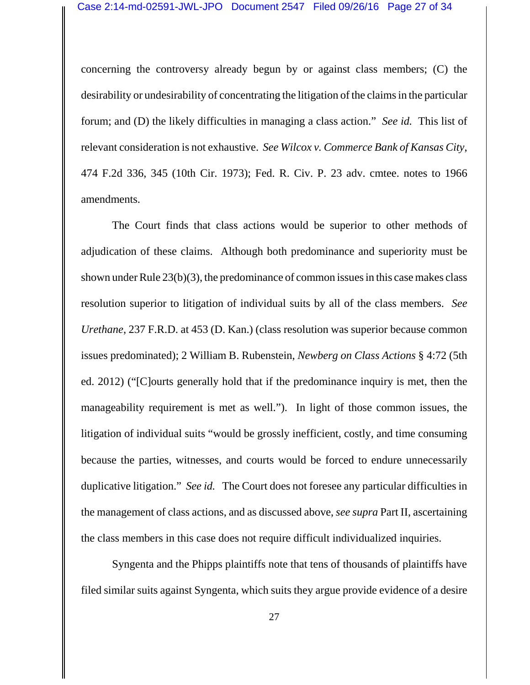concerning the controversy already begun by or against class members; (C) the desirability or undesirability of concentrating the litigation of the claims in the particular forum; and (D) the likely difficulties in managing a class action." *See id.* This list of relevant consideration is not exhaustive. *See Wilcox v. Commerce Bank of Kansas City*, 474 F.2d 336, 345 (10th Cir. 1973); Fed. R. Civ. P. 23 adv. cmtee. notes to 1966 amendments.

The Court finds that class actions would be superior to other methods of adjudication of these claims. Although both predominance and superiority must be shown under Rule 23(b)(3), the predominance of common issues in this case makes class resolution superior to litigation of individual suits by all of the class members. *See Urethane*, 237 F.R.D. at 453 (D. Kan.) (class resolution was superior because common issues predominated); 2 William B. Rubenstein, *Newberg on Class Actions* § 4:72 (5th ed. 2012) ("[C]ourts generally hold that if the predominance inquiry is met, then the manageability requirement is met as well."). In light of those common issues, the litigation of individual suits "would be grossly inefficient, costly, and time consuming because the parties, witnesses, and courts would be forced to endure unnecessarily duplicative litigation." *See id.* The Court does not foresee any particular difficulties in the management of class actions, and as discussed above, *see supra* Part II, ascertaining the class members in this case does not require difficult individualized inquiries.

Syngenta and the Phipps plaintiffs note that tens of thousands of plaintiffs have filed similar suits against Syngenta, which suits they argue provide evidence of a desire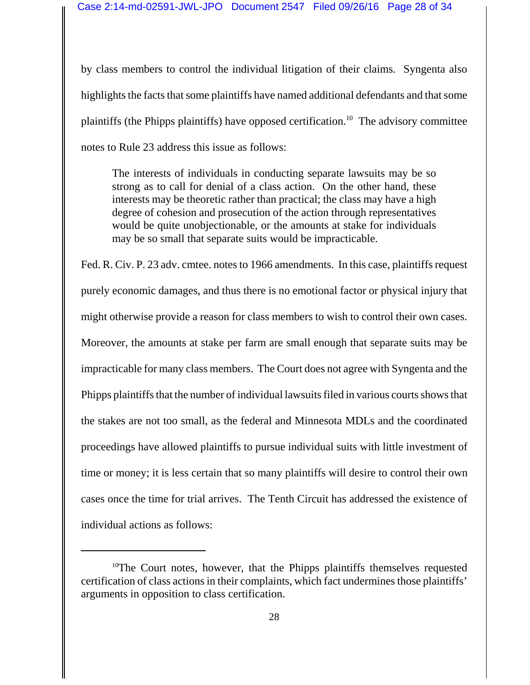by class members to control the individual litigation of their claims. Syngenta also highlights the facts that some plaintiffs have named additional defendants and that some plaintiffs (the Phipps plaintiffs) have opposed certification.<sup>10</sup> The advisory committee notes to Rule 23 address this issue as follows:

The interests of individuals in conducting separate lawsuits may be so strong as to call for denial of a class action. On the other hand, these interests may be theoretic rather than practical; the class may have a high degree of cohesion and prosecution of the action through representatives would be quite unobjectionable, or the amounts at stake for individuals may be so small that separate suits would be impracticable.

Fed. R. Civ. P. 23 adv. cmtee. notes to 1966 amendments. In this case, plaintiffs request purely economic damages, and thus there is no emotional factor or physical injury that might otherwise provide a reason for class members to wish to control their own cases. Moreover, the amounts at stake per farm are small enough that separate suits may be impracticable for many class members. The Court does not agree with Syngenta and the Phipps plaintiffs that the number of individual lawsuits filed in various courts shows that the stakes are not too small, as the federal and Minnesota MDLs and the coordinated proceedings have allowed plaintiffs to pursue individual suits with little investment of time or money; it is less certain that so many plaintiffs will desire to control their own cases once the time for trial arrives. The Tenth Circuit has addressed the existence of individual actions as follows:

<sup>&</sup>lt;sup>10</sup>The Court notes, however, that the Phipps plaintiffs themselves requested certification of class actions in their complaints, which fact undermines those plaintiffs' arguments in opposition to class certification.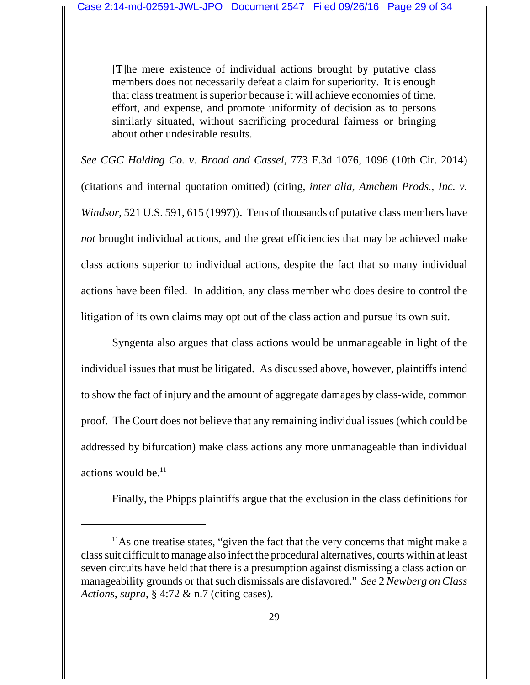[T]he mere existence of individual actions brought by putative class members does not necessarily defeat a claim for superiority. It is enough that class treatment is superior because it will achieve economies of time, effort, and expense, and promote uniformity of decision as to persons similarly situated, without sacrificing procedural fairness or bringing about other undesirable results.

*See CGC Holding Co. v. Broad and Cassel*, 773 F.3d 1076, 1096 (10th Cir. 2014) (citations and internal quotation omitted) (citing, *inter alia*, *Amchem Prods., Inc. v. Windsor*, 521 U.S. 591, 615 (1997)). Tens of thousands of putative class members have *not* brought individual actions, and the great efficiencies that may be achieved make class actions superior to individual actions, despite the fact that so many individual actions have been filed. In addition, any class member who does desire to control the litigation of its own claims may opt out of the class action and pursue its own suit.

Syngenta also argues that class actions would be unmanageable in light of the individual issues that must be litigated. As discussed above, however, plaintiffs intend to show the fact of injury and the amount of aggregate damages by class-wide, common proof. The Court does not believe that any remaining individual issues (which could be addressed by bifurcation) make class actions any more unmanageable than individual actions would be. $<sup>11</sup>$ </sup>

Finally, the Phipps plaintiffs argue that the exclusion in the class definitions for

<sup>&</sup>lt;sup>11</sup>As one treatise states, "given the fact that the very concerns that might make a class suit difficult to manage also infect the procedural alternatives, courts within at least seven circuits have held that there is a presumption against dismissing a class action on manageability grounds or that such dismissals are disfavored." *See* 2 *Newberg on Class Actions*, *supra*, § 4:72 & n.7 (citing cases).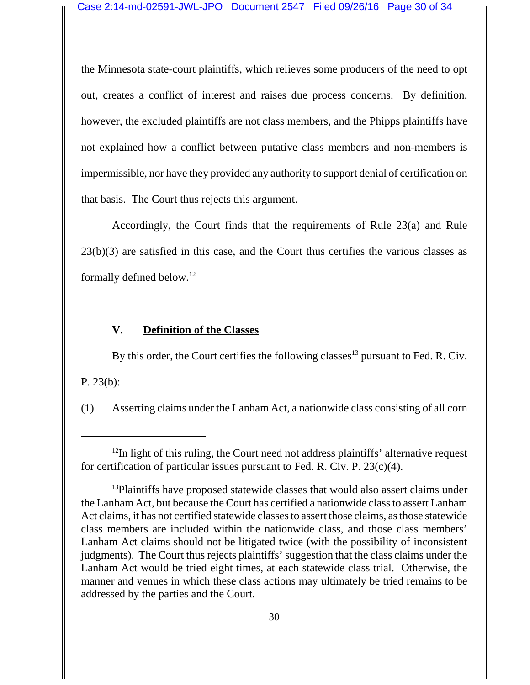the Minnesota state-court plaintiffs, which relieves some producers of the need to opt out, creates a conflict of interest and raises due process concerns. By definition, however, the excluded plaintiffs are not class members, and the Phipps plaintiffs have not explained how a conflict between putative class members and non-members is impermissible, nor have they provided any authority to support denial of certification on that basis. The Court thus rejects this argument.

Accordingly, the Court finds that the requirements of Rule 23(a) and Rule 23(b)(3) are satisfied in this case, and the Court thus certifies the various classes as formally defined below.12

# **V. Definition of the Classes**

By this order, the Court certifies the following classes<sup>13</sup> pursuant to Fed. R. Civ. P. 23(b):

(1) Asserting claims under the Lanham Act, a nationwide class consisting of all corn

<sup>&</sup>lt;sup>12</sup>In light of this ruling, the Court need not address plaintiffs' alternative request for certification of particular issues pursuant to Fed. R. Civ. P.  $23(c)(4)$ .

<sup>&</sup>lt;sup>13</sup>Plaintiffs have proposed statewide classes that would also assert claims under the Lanham Act, but because the Court has certified a nationwide class to assert Lanham Act claims, it has not certified statewide classes to assert those claims, as those statewide class members are included within the nationwide class, and those class members' Lanham Act claims should not be litigated twice (with the possibility of inconsistent judgments). The Court thus rejects plaintiffs' suggestion that the class claims under the Lanham Act would be tried eight times, at each statewide class trial. Otherwise, the manner and venues in which these class actions may ultimately be tried remains to be addressed by the parties and the Court.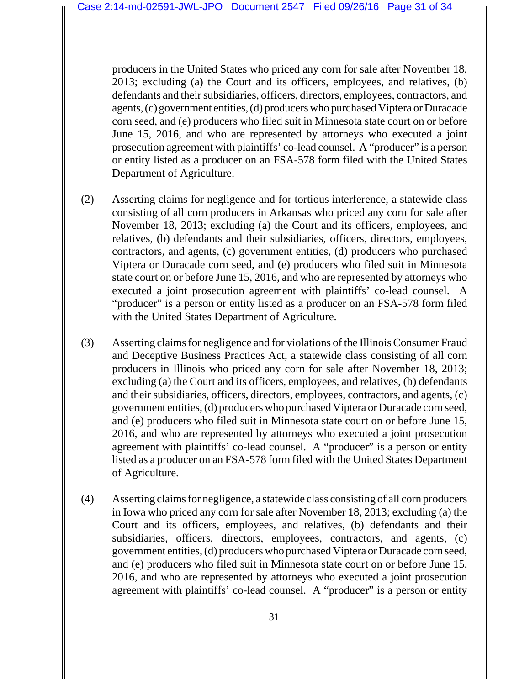producers in the United States who priced any corn for sale after November 18, 2013; excluding (a) the Court and its officers, employees, and relatives, (b) defendants and their subsidiaries, officers, directors, employees, contractors, and agents, (c) government entities, (d) producers who purchased Viptera or Duracade corn seed, and (e) producers who filed suit in Minnesota state court on or before June 15, 2016, and who are represented by attorneys who executed a joint prosecution agreement with plaintiffs' co-lead counsel. A "producer" is a person or entity listed as a producer on an FSA-578 form filed with the United States Department of Agriculture.

- (2) Asserting claims for negligence and for tortious interference, a statewide class consisting of all corn producers in Arkansas who priced any corn for sale after November 18, 2013; excluding (a) the Court and its officers, employees, and relatives, (b) defendants and their subsidiaries, officers, directors, employees, contractors, and agents, (c) government entities, (d) producers who purchased Viptera or Duracade corn seed, and (e) producers who filed suit in Minnesota state court on or before June 15, 2016, and who are represented by attorneys who executed a joint prosecution agreement with plaintiffs' co-lead counsel. A "producer" is a person or entity listed as a producer on an FSA-578 form filed with the United States Department of Agriculture.
- (3) Asserting claims for negligence and for violations of the Illinois Consumer Fraud and Deceptive Business Practices Act, a statewide class consisting of all corn producers in Illinois who priced any corn for sale after November 18, 2013; excluding (a) the Court and its officers, employees, and relatives, (b) defendants and their subsidiaries, officers, directors, employees, contractors, and agents, (c) government entities, (d) producers who purchased Viptera or Duracade corn seed, and (e) producers who filed suit in Minnesota state court on or before June 15, 2016, and who are represented by attorneys who executed a joint prosecution agreement with plaintiffs' co-lead counsel. A "producer" is a person or entity listed as a producer on an FSA-578 form filed with the United States Department of Agriculture.
- (4) Asserting claims for negligence, a statewide class consisting of all corn producers in Iowa who priced any corn for sale after November 18, 2013; excluding (a) the Court and its officers, employees, and relatives, (b) defendants and their subsidiaries, officers, directors, employees, contractors, and agents, (c) government entities, (d) producers who purchased Viptera or Duracade corn seed, and (e) producers who filed suit in Minnesota state court on or before June 15, 2016, and who are represented by attorneys who executed a joint prosecution agreement with plaintiffs' co-lead counsel. A "producer" is a person or entity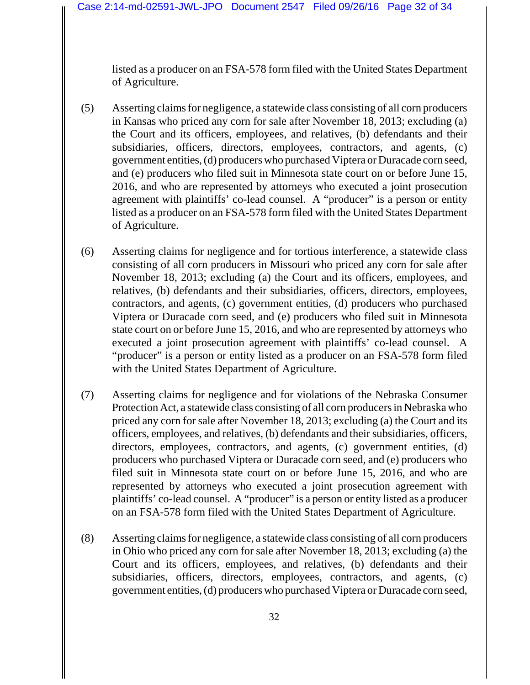listed as a producer on an FSA-578 form filed with the United States Department of Agriculture.

- (5) Asserting claims for negligence, a statewide class consisting of all corn producers in Kansas who priced any corn for sale after November 18, 2013; excluding (a) the Court and its officers, employees, and relatives, (b) defendants and their subsidiaries, officers, directors, employees, contractors, and agents, (c) government entities, (d) producers who purchased Viptera or Duracade corn seed, and (e) producers who filed suit in Minnesota state court on or before June 15, 2016, and who are represented by attorneys who executed a joint prosecution agreement with plaintiffs' co-lead counsel. A "producer" is a person or entity listed as a producer on an FSA-578 form filed with the United States Department of Agriculture.
- (6) Asserting claims for negligence and for tortious interference, a statewide class consisting of all corn producers in Missouri who priced any corn for sale after November 18, 2013; excluding (a) the Court and its officers, employees, and relatives, (b) defendants and their subsidiaries, officers, directors, employees, contractors, and agents, (c) government entities, (d) producers who purchased Viptera or Duracade corn seed, and (e) producers who filed suit in Minnesota state court on or before June 15, 2016, and who are represented by attorneys who executed a joint prosecution agreement with plaintiffs' co-lead counsel. A "producer" is a person or entity listed as a producer on an FSA-578 form filed with the United States Department of Agriculture.
- (7) Asserting claims for negligence and for violations of the Nebraska Consumer Protection Act, a statewide class consisting of all corn producers in Nebraska who priced any corn for sale after November 18, 2013; excluding (a) the Court and its officers, employees, and relatives, (b) defendants and their subsidiaries, officers, directors, employees, contractors, and agents, (c) government entities, (d) producers who purchased Viptera or Duracade corn seed, and (e) producers who filed suit in Minnesota state court on or before June 15, 2016, and who are represented by attorneys who executed a joint prosecution agreement with plaintiffs' co-lead counsel. A "producer" is a person or entity listed as a producer on an FSA-578 form filed with the United States Department of Agriculture.
- (8) Asserting claims for negligence, a statewide class consisting of all corn producers in Ohio who priced any corn for sale after November 18, 2013; excluding (a) the Court and its officers, employees, and relatives, (b) defendants and their subsidiaries, officers, directors, employees, contractors, and agents, (c) government entities, (d) producers who purchased Viptera or Duracade corn seed,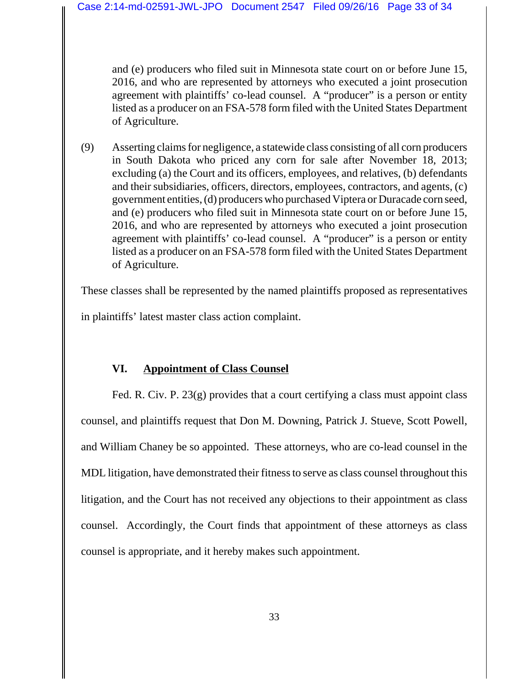and (e) producers who filed suit in Minnesota state court on or before June 15, 2016, and who are represented by attorneys who executed a joint prosecution agreement with plaintiffs' co-lead counsel. A "producer" is a person or entity listed as a producer on an FSA-578 form filed with the United States Department of Agriculture.

(9) Asserting claims for negligence, a statewide class consisting of all corn producers in South Dakota who priced any corn for sale after November 18, 2013; excluding (a) the Court and its officers, employees, and relatives, (b) defendants and their subsidiaries, officers, directors, employees, contractors, and agents, (c) government entities, (d) producers who purchased Viptera or Duracade corn seed, and (e) producers who filed suit in Minnesota state court on or before June 15, 2016, and who are represented by attorneys who executed a joint prosecution agreement with plaintiffs' co-lead counsel. A "producer" is a person or entity listed as a producer on an FSA-578 form filed with the United States Department of Agriculture.

These classes shall be represented by the named plaintiffs proposed as representatives in plaintiffs' latest master class action complaint.

# **VI. Appointment of Class Counsel**

Fed. R. Civ. P. 23(g) provides that a court certifying a class must appoint class counsel, and plaintiffs request that Don M. Downing, Patrick J. Stueve, Scott Powell, and William Chaney be so appointed. These attorneys, who are co-lead counsel in the MDL litigation, have demonstrated their fitness to serve as class counsel throughout this litigation, and the Court has not received any objections to their appointment as class counsel. Accordingly, the Court finds that appointment of these attorneys as class counsel is appropriate, and it hereby makes such appointment.